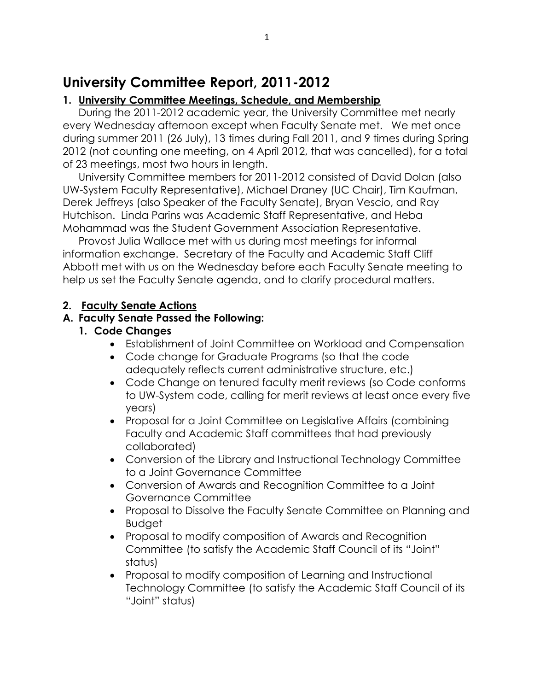# **University Committee Report, 2011-2012**

### **1. University Committee Meetings, Schedule, and Membership**

During the 2011-2012 academic year, the University Committee met nearly every Wednesday afternoon except when Faculty Senate met. We met once during summer 2011 (26 July), 13 times during Fall 2011, and 9 times during Spring 2012 (not counting one meeting, on 4 April 2012, that was cancelled), for a total of 23 meetings, most two hours in length.

University Committee members for 2011-2012 consisted of David Dolan (also UW-System Faculty Representative), Michael Draney (UC Chair), Tim Kaufman, Derek Jeffreys (also Speaker of the Faculty Senate), Bryan Vescio, and Ray Hutchison. Linda Parins was Academic Staff Representative, and Heba Mohammad was the Student Government Association Representative.

Provost Julia Wallace met with us during most meetings for informal information exchange. Secretary of the Faculty and Academic Staff Cliff Abbott met with us on the Wednesday before each Faculty Senate meeting to help us set the Faculty Senate agenda, and to clarify procedural matters.

#### **2. Faculty Senate Actions**

#### **A. Faculty Senate Passed the Following:**

#### **1. Code Changes**

- Establishment of Joint Committee on Workload and Compensation
- Code change for Graduate Programs (so that the code adequately reflects current administrative structure, etc.)
- Code Change on tenured faculty merit reviews (so Code conforms to UW-System code, calling for merit reviews at least once every five years)
- Proposal for a Joint Committee on Legislative Affairs (combining Faculty and Academic Staff committees that had previously collaborated)
- Conversion of the Library and Instructional Technology Committee to a Joint Governance Committee
- Conversion of Awards and Recognition Committee to a Joint Governance Committee
- Proposal to Dissolve the Faculty Senate Committee on Planning and **Budget**
- Proposal to modify composition of Awards and Recognition Committee (to satisfy the Academic Staff Council of its "Joint" status)
- Proposal to modify composition of Learning and Instructional Technology Committee (to satisfy the Academic Staff Council of its "Joint" status)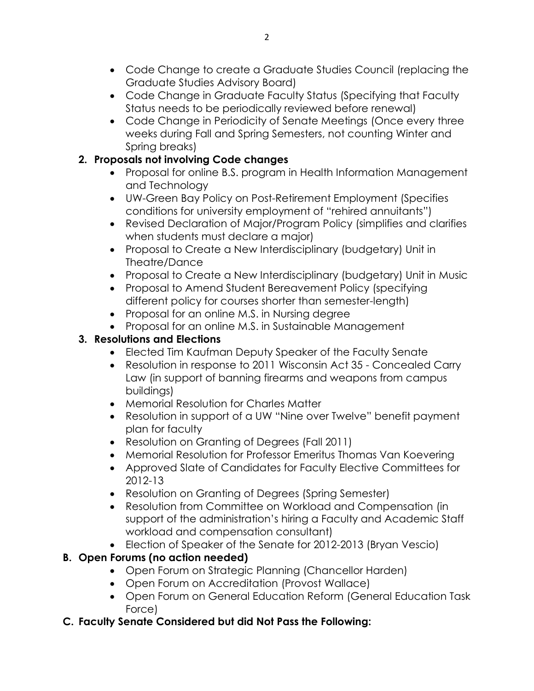- Code Change to create a Graduate Studies Council (replacing the Graduate Studies Advisory Board)
- Code Change in Graduate Faculty Status (Specifying that Faculty Status needs to be periodically reviewed before renewal)
- Code Change in Periodicity of Senate Meetings (Once every three weeks during Fall and Spring Semesters, not counting Winter and Spring breaks)

### **2. Proposals not involving Code changes**

- Proposal for online B.S. program in Health Information Management and Technology
- UW-Green Bay Policy on Post-Retirement Employment (Specifies conditions for university employment of "rehired annuitants")
- Revised Declaration of Major/Program Policy (simplifies and clarifies when students must declare a major)
- Proposal to Create a New Interdisciplinary (budgetary) Unit in Theatre/Dance
- Proposal to Create a New Interdisciplinary (budgetary) Unit in Music
- Proposal to Amend Student Bereavement Policy (specifying different policy for courses shorter than semester-length)
- Proposal for an online M.S. in Nursing degree
- Proposal for an online M.S. in Sustainable Management

## **3. Resolutions and Elections**

- Elected Tim Kaufman Deputy Speaker of the Faculty Senate
- Resolution in response to 2011 Wisconsin Act 35 Concealed Carry Law (in support of banning firearms and weapons from campus buildings)
- Memorial Resolution for Charles Matter
- Resolution in support of a UW "Nine over Twelve" benefit payment plan for faculty
- Resolution on Granting of Degrees (Fall 2011)
- Memorial Resolution for Professor Emeritus Thomas Van Koevering
- Approved Slate of Candidates for Faculty Elective Committees for 2012-13
- Resolution on Granting of Degrees (Spring Semester)
- Resolution from Committee on Workload and Compensation (in support of the administration's hiring a Faculty and Academic Staff workload and compensation consultant)
- Election of Speaker of the Senate for 2012-2013 (Bryan Vescio)

## **B. Open Forums (no action needed)**

- Open Forum on Strategic Planning (Chancellor Harden)
- Open Forum on Accreditation (Provost Wallace)
- Open Forum on General Education Reform (General Education Task Force)
- **C. Faculty Senate Considered but did Not Pass the Following:**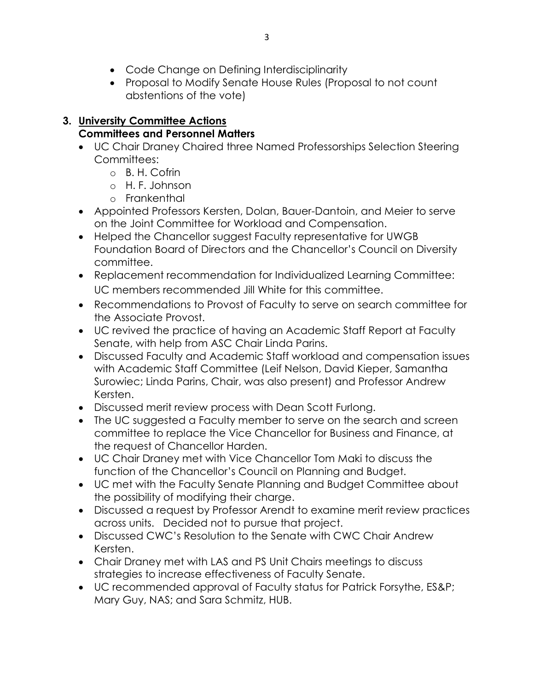- Code Change on Defining Interdisciplinarity
- Proposal to Modify Senate House Rules (Proposal to not count abstentions of the vote)

# **3. University Committee Actions**

### **Committees and Personnel Matters**

- UC Chair Draney Chaired three Named Professorships Selection Steering Committees:
	- o B. H. Cofrin
	- o H. F. Johnson
	- o Frankenthal
- Appointed Professors Kersten, Dolan, Bauer-Dantoin, and Meier to serve on the Joint Committee for Workload and Compensation.
- Helped the Chancellor suggest Faculty representative for UWGB Foundation Board of Directors and the Chancellor's Council on Diversity committee.
- Replacement recommendation for Individualized Learning Committee: UC members recommended Jill White for this committee.
- Recommendations to Provost of Faculty to serve on search committee for the Associate Provost.
- UC revived the practice of having an Academic Staff Report at Faculty Senate, with help from ASC Chair Linda Parins.
- Discussed Faculty and Academic Staff workload and compensation issues with Academic Staff Committee (Leif Nelson, David Kieper, Samantha Surowiec; Linda Parins, Chair, was also present) and Professor Andrew Kersten.
- Discussed merit review process with Dean Scott Furlong.
- The UC suggested a Faculty member to serve on the search and screen committee to replace the Vice Chancellor for Business and Finance, at the request of Chancellor Harden.
- UC Chair Draney met with Vice Chancellor Tom Maki to discuss the function of the Chancellor's Council on Planning and Budget.
- UC met with the Faculty Senate Planning and Budget Committee about the possibility of modifying their charge.
- Discussed a request by Professor Arendt to examine merit review practices across units. Decided not to pursue that project.
- Discussed CWC's Resolution to the Senate with CWC Chair Andrew Kersten.
- Chair Draney met with LAS and PS Unit Chairs meetings to discuss strategies to increase effectiveness of Faculty Senate.
- UC recommended approval of Faculty status for Patrick Forsythe, ES&P; Mary Guy, NAS; and Sara Schmitz, HUB.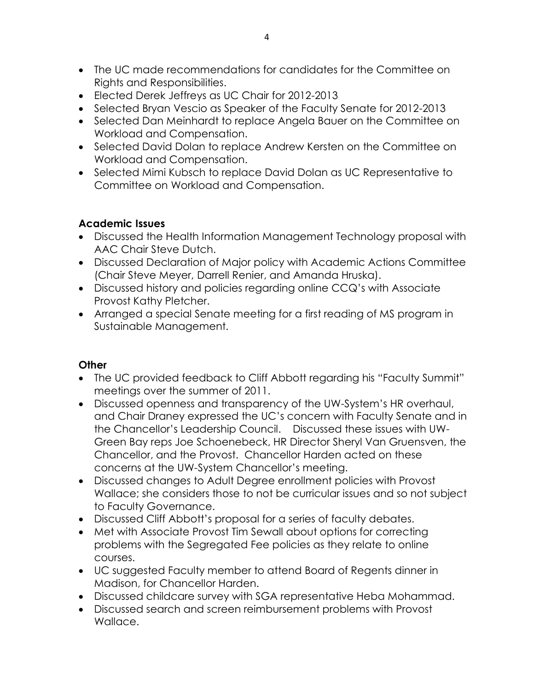- The UC made recommendations for candidates for the Committee on Rights and Responsibilities.
- Elected Derek Jeffreys as UC Chair for 2012-2013
- Selected Bryan Vescio as Speaker of the Faculty Senate for 2012-2013
- Selected Dan Meinhardt to replace Angela Bauer on the Committee on Workload and Compensation.
- Selected David Dolan to replace Andrew Kersten on the Committee on Workload and Compensation.
- Selected Mimi Kubsch to replace David Dolan as UC Representative to Committee on Workload and Compensation.

### **Academic Issues**

- Discussed the Health Information Management Technology proposal with AAC Chair Steve Dutch.
- Discussed Declaration of Major policy with Academic Actions Committee (Chair Steve Meyer, Darrell Renier, and Amanda Hruska).
- Discussed history and policies regarding online CCQ's with Associate Provost Kathy Pletcher.
- Arranged a special Senate meeting for a first reading of MS program in Sustainable Management.

### **Other**

- The UC provided feedback to Cliff Abbott regarding his "Faculty Summit" meetings over the summer of 2011.
- Discussed openness and transparency of the UW-System's HR overhaul, and Chair Draney expressed the UC's concern with Faculty Senate and in the Chancellor's Leadership Council. Discussed these issues with UW-Green Bay reps Joe Schoenebeck, HR Director Sheryl Van Gruensven, the Chancellor, and the Provost. Chancellor Harden acted on these concerns at the UW-System Chancellor's meeting.
- Discussed changes to Adult Degree enrollment policies with Provost Wallace; she considers those to not be curricular issues and so not subject to Faculty Governance.
- Discussed Cliff Abbott's proposal for a series of faculty debates.
- Met with Associate Provost Tim Sewall about options for correcting problems with the Segregated Fee policies as they relate to online courses.
- UC suggested Faculty member to attend Board of Regents dinner in Madison, for Chancellor Harden.
- Discussed childcare survey with SGA representative Heba Mohammad.
- Discussed search and screen reimbursement problems with Provost Wallace.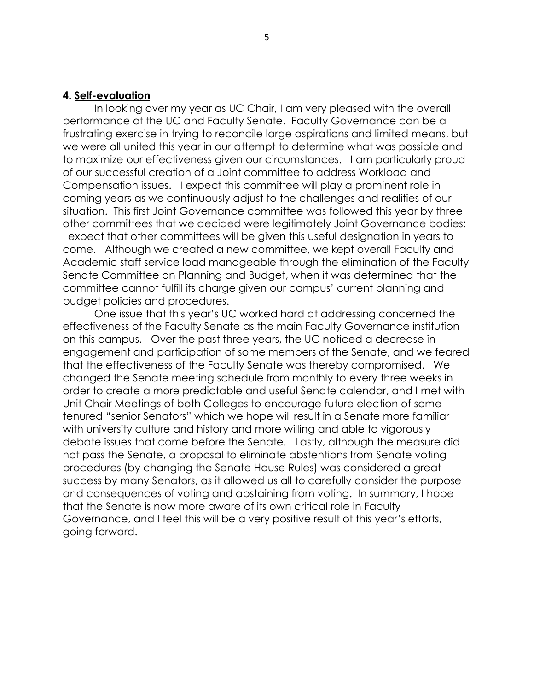#### **4. Self-evaluation**

In looking over my year as UC Chair, I am very pleased with the overall performance of the UC and Faculty Senate. Faculty Governance can be a frustrating exercise in trying to reconcile large aspirations and limited means, but we were all united this year in our attempt to determine what was possible and to maximize our effectiveness given our circumstances. I am particularly proud of our successful creation of a Joint committee to address Workload and Compensation issues. I expect this committee will play a prominent role in coming years as we continuously adjust to the challenges and realities of our situation. This first Joint Governance committee was followed this year by three other committees that we decided were legitimately Joint Governance bodies; I expect that other committees will be given this useful designation in years to come. Although we created a new committee, we kept overall Faculty and Academic staff service load manageable through the elimination of the Faculty Senate Committee on Planning and Budget, when it was determined that the committee cannot fulfill its charge given our campus' current planning and budget policies and procedures.

One issue that this year's UC worked hard at addressing concerned the effectiveness of the Faculty Senate as the main Faculty Governance institution on this campus. Over the past three years, the UC noticed a decrease in engagement and participation of some members of the Senate, and we feared that the effectiveness of the Faculty Senate was thereby compromised. We changed the Senate meeting schedule from monthly to every three weeks in order to create a more predictable and useful Senate calendar, and I met with Unit Chair Meetings of both Colleges to encourage future election of some tenured "senior Senators" which we hope will result in a Senate more familiar with university culture and history and more willing and able to vigorously debate issues that come before the Senate. Lastly, although the measure did not pass the Senate, a proposal to eliminate abstentions from Senate voting procedures (by changing the Senate House Rules) was considered a great success by many Senators, as it allowed us all to carefully consider the purpose and consequences of voting and abstaining from voting. In summary, I hope that the Senate is now more aware of its own critical role in Faculty Governance, and I feel this will be a very positive result of this year's efforts, going forward.